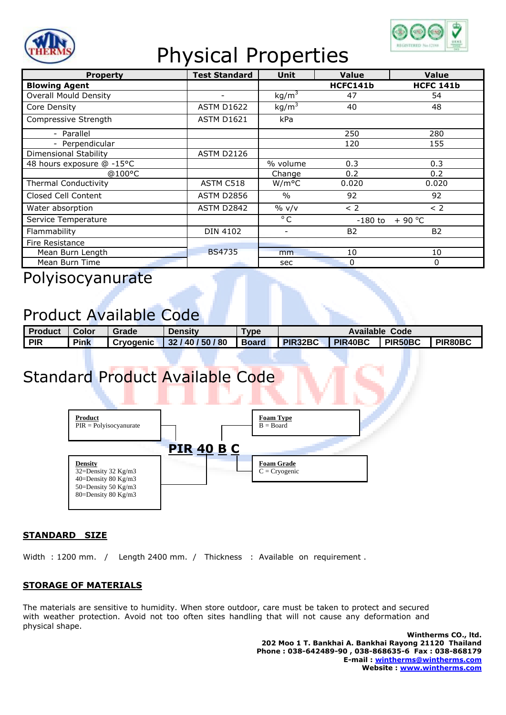

## Physical Properties



| <b>Property</b>              | <b>Test Standard</b>     | Unit                     | <b>Value</b>          | <b>Value</b>     |  |
|------------------------------|--------------------------|--------------------------|-----------------------|------------------|--|
| <b>Blowing Agent</b>         |                          |                          | HCFC141b              | <b>HCFC 141b</b> |  |
| <b>Overall Mould Density</b> | $\overline{\phantom{a}}$ | kg/m <sup>3</sup>        | 47                    | 54               |  |
| Core Density                 | <b>ASTM D1622</b>        | kg/m <sup>3</sup>        | 40                    | 48               |  |
| Compressive Strength         | <b>ASTM D1621</b>        | kPa                      |                       |                  |  |
| - Parallel                   |                          |                          | 250                   | 280              |  |
| - Perpendicular              |                          |                          | 120                   | 155              |  |
| Dimensional Stability        | <b>ASTM D2126</b>        |                          |                       |                  |  |
| 48 hours exposure @ -15°C    |                          | % volume                 | 0.3                   | 0.3              |  |
| @100°C                       |                          | Change                   | 0.2                   | 0.2              |  |
| <b>Thermal Conductivity</b>  | ASTM C518                | W/m <sup>o</sup> C       | 0.020                 | 0.020            |  |
| Closed Cell Content          | <b>ASTM D2856</b>        | $\frac{0}{0}$            | 92                    | 92               |  |
| Water absorption             | ASTM D2842               | $\%$ v/v                 | < 2                   | < 2              |  |
| Service Temperature          |                          | $^{\circ}$ C             | $+90 °C$<br>$-180$ to |                  |  |
| Flammability                 | <b>DIN 4102</b>          | $\overline{\phantom{a}}$ | <b>B2</b>             | <b>B2</b>        |  |
| Fire Resistance              |                          |                          |                       |                  |  |
| Mean Burn Length             | <b>BS4735</b>            | mm                       | 10                    | 10               |  |
| Mean Burn Time               |                          | sec                      | $\Omega$              | 0                |  |

Polyisocyanurate

### Product Available Code

| I Product | <b>L</b> Color | Grade | <b>Density</b>                              | <b>Type</b> | Available<br>Code |  |                |                |
|-----------|----------------|-------|---------------------------------------------|-------------|-------------------|--|----------------|----------------|
| PIR       | <b>Pink</b>    |       | Cryogenic 32/40/50/80 Board PIR32BC PIR40BC |             |                   |  | <b>PIR50BC</b> | <b>PIR80BC</b> |

## Standard Product Available Code



#### **STANDARD SIZE**

Width : 1200 mm. / Length 2400 mm. / Thickness : Available on requirement.

#### **STORAGE OF MATERIALS**

The materials are sensitive to humidity. When store outdoor, care must be taken to protect and secured with weather protection. Avoid not too often sites handling that will not cause any deformation and physical shape.